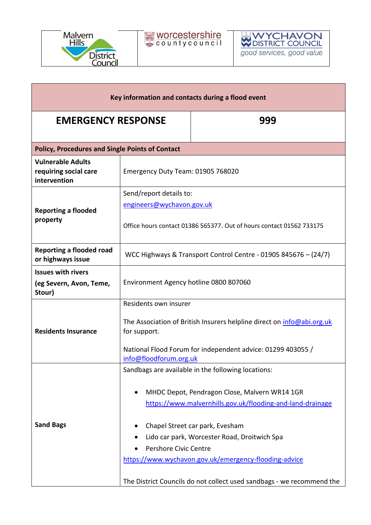



| Key information and contacts during a flood event                 |                                                                                                             |                                                                       |  |
|-------------------------------------------------------------------|-------------------------------------------------------------------------------------------------------------|-----------------------------------------------------------------------|--|
| <b>EMERGENCY RESPONSE</b>                                         |                                                                                                             | 999                                                                   |  |
| <b>Policy, Procedures and Single Points of Contact</b>            |                                                                                                             |                                                                       |  |
| <b>Vulnerable Adults</b><br>requiring social care<br>intervention | Emergency Duty Team: 01905 768020                                                                           |                                                                       |  |
| <b>Reporting a flooded</b><br>property                            | Send/report details to:                                                                                     |                                                                       |  |
|                                                                   | engineers@wychavon.gov.uk                                                                                   |                                                                       |  |
|                                                                   | Office hours contact 01386 565377. Out of hours contact 01562 733175                                        |                                                                       |  |
| <b>Reporting a flooded road</b><br>or highways issue              | WCC Highways & Transport Control Centre - 01905 845676 - (24/7)                                             |                                                                       |  |
| <b>Issues with rivers</b><br>(eg Severn, Avon, Teme,<br>Stour)    | Environment Agency hotline 0800 807060                                                                      |                                                                       |  |
| <b>Residents Insurance</b>                                        | Residents own insurer                                                                                       |                                                                       |  |
|                                                                   | The Association of British Insurers helpline direct on <i>info@abi.org.uk</i><br>for support.               |                                                                       |  |
|                                                                   | National Flood Forum for independent advice: 01299 403055 /<br>info@floodforum.org.uk                       |                                                                       |  |
|                                                                   |                                                                                                             | Sandbags are available in the following locations:                    |  |
| <b>Sand Bags</b>                                                  | MHDC Depot, Pendragon Close, Malvern WR14 1GR<br>https://www.malvernhills.gov.uk/flooding-and-land-drainage |                                                                       |  |
|                                                                   |                                                                                                             | Chapel Street car park, Evesham                                       |  |
|                                                                   | Lido car park, Worcester Road, Droitwich Spa                                                                |                                                                       |  |
|                                                                   | Pershore Civic Centre                                                                                       |                                                                       |  |
|                                                                   | https://www.wychavon.gov.uk/emergency-flooding-advice                                                       |                                                                       |  |
|                                                                   |                                                                                                             | The District Councils do not collect used sandbags - we recommend the |  |